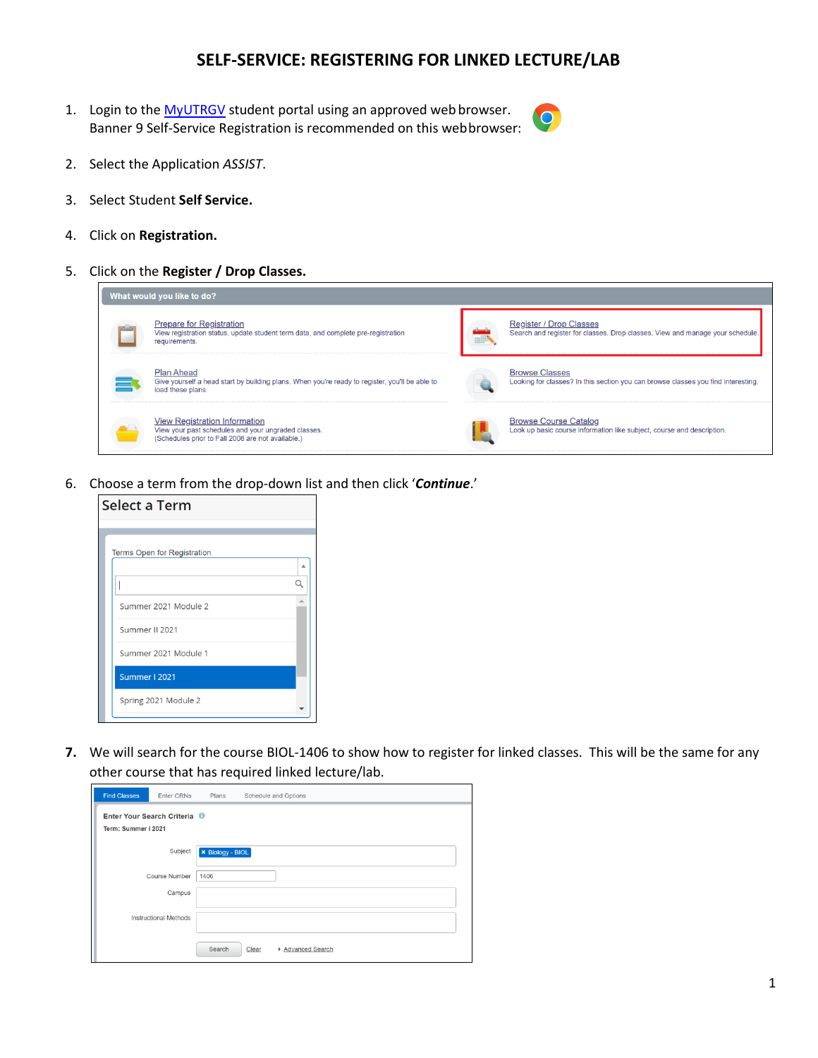## **SELF-SERVICE: REGISTERING FOR LINKED LECTURE/LAB**

1. Login to the [MyUTRGV](https://my.utrgv.edu/home) student portal using an approved web browser. Banner 9 Self-Service Registration is recommended on this webbrowser:



- 2. Select the Application *ASSIST*.
- 3. Select Student **Self Service.**
- 4. Click on **Registration.**
- 5. Click on the **Register / Drop Classes.**



6. Choose a term from the drop-down list and then click '*Continue*.'



**7.** We will search for the course BIOL-1406 to show how to register for linked classes. This will be the same for any other course that has required linked lecture/lab.

| <b>Find Classes</b> | <b>Enter CRNs</b>            | Plans                   | Schedule and Options       |
|---------------------|------------------------------|-------------------------|----------------------------|
|                     | Enter Your Search Criteria   |                         |                            |
| Term: Summer I 2021 |                              |                         |                            |
|                     | Subject                      | <b>× Biology - BIOL</b> |                            |
|                     | <b>Course Number</b>         | 1406                    |                            |
|                     | Campus                       |                         |                            |
|                     | <b>Instructional Methods</b> |                         |                            |
|                     |                              | Search                  | Clear<br>▶ Advanced Search |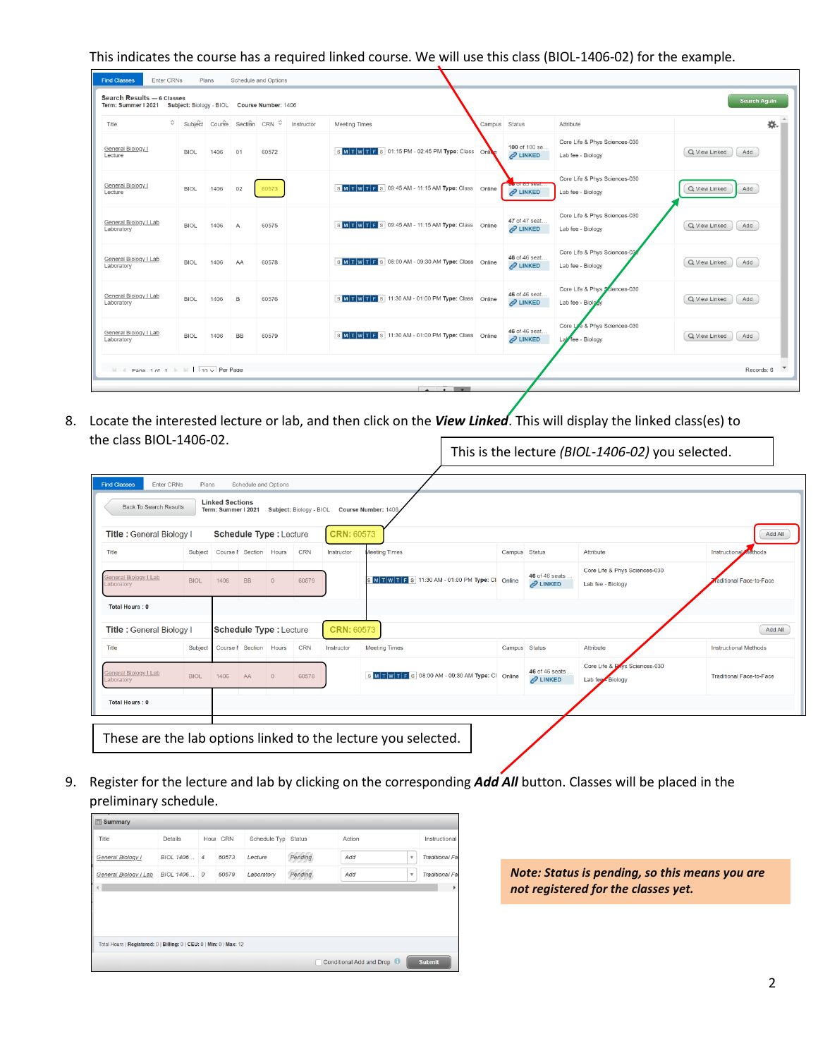This indicates the course has a required linked course. We will use this class (BIOL-1406-02) for the example.

| Enter CRNs<br><b>Find Classes</b><br>Plans<br>Schedule and Options<br>Search Results - 6 Classes<br><b>Search Again</b><br>Term: Summer I 2021 Subject: Biology - BIOL Course Number: 1406 |             |      |                |                                                                    |            |                                                  |  |                                       |                                                    |                      |
|--------------------------------------------------------------------------------------------------------------------------------------------------------------------------------------------|-------------|------|----------------|--------------------------------------------------------------------|------------|--------------------------------------------------|--|---------------------------------------|----------------------------------------------------|----------------------|
| Title                                                                                                                                                                                      |             |      |                | $\hat{\mathcal{C}}$ Subject Course Section CRN $\hat{\mathcal{C}}$ | Instructor | <b>Meeting Times</b>                             |  | Campus Status                         | Attribute                                          | 杂.                   |
| General Biology I<br>Lecture                                                                                                                                                               | <b>BIOL</b> | 1406 | 01             | 60572                                                              |            | SMTWTFS 01:15 PM - 02:45 PM Type: Class Online   |  | 100 of 100 se<br>$\mathscr{Q}$ LINKED | Core Life & Phys Sciences-030<br>Lab fee - Biology | Q View Linked<br>Add |
| General Biology I<br>Lecture                                                                                                                                                               | <b>BIOL</b> | 1406 | 02             | 60573                                                              |            | SMTWTFS 09:45 AM - 11:15 AM Type: Class Online   |  | <b>by</b> UI OU SCAL<br>$2$ LINKED    | Core Life & Phys Sciences-030<br>Lab fee - Biology | Q View Linked<br>Add |
| General Biology I Lab<br>Laboratory                                                                                                                                                        | <b>BIOL</b> | 1406 | $\overline{A}$ | 60575                                                              |            | SMTWTFS 09:45 AM - 11:15 AM Type: Class Online   |  | 47 of 47 seat<br>$2$ LINKED           | Core Life & Phys Sciences-030<br>Lab fee - Biology | Q View Linked<br>Add |
| General Biology I Lab<br>Laboratory                                                                                                                                                        | <b>BIOL</b> | 1406 | AA             | 60578                                                              |            | SMITWITFS 08:00 AM - 09:30 AM Type: Class Online |  | 46 of 46 seat.<br><b>2 LINKED</b>     | Core Life & Phys Sciences-03<br>Lab fee - Biology  | Q View Linked<br>Add |
| General Biology I Lab<br>Laboratory                                                                                                                                                        | <b>BIOL</b> | 1406 | $\overline{B}$ | 60576                                                              |            | SMITWITFS 11:30 AM - 01:00 PM Type: Class Online |  | 46 of 46 seat.<br>$2$ LINKED          | Core Life & Phys Sciences-030<br>Lab fee - Biolo   | Q View Linked<br>Add |
| General Biology I Lab<br>Laboratory                                                                                                                                                        | <b>BIOL</b> | 1406 | <b>BB</b>      | 60579                                                              |            | SMITWITFS 11:30 AM - 01:00 PM Type: Class Online |  | 46 of 46 seat.<br>$2$ LINKED          | Core Life & Phys Sciences-030<br>Lab fee - Biology | Q View Linked<br>Add |
| $\mathbb{N}$ d Pane 1 of 1 $\mathbb{N}$   10 $\sqrt{}$ Per Page                                                                                                                            |             |      |                |                                                                    |            |                                                  |  |                                       |                                                    | Records: 6           |
|                                                                                                                                                                                            |             |      |                |                                                                    |            | $\sim$ $\sim$ $\sim$                             |  |                                       |                                                    |                      |

8. Locate the interested lecture or lab, and then click on the *View Linked*. This will display the linked class(es) to the class BIOL-1406-02. This is the lecture *(BIOL-1406-02)* you selected.

| <b>Back To Search Results</b>              |             | <b>Linked Sections</b><br>Term: Summer I 2021 |                        |                               | Subject: Biology - BIOL |            | Course Number: 1406                               |               |                                    |                                                    |                                 |
|--------------------------------------------|-------------|-----------------------------------------------|------------------------|-------------------------------|-------------------------|------------|---------------------------------------------------|---------------|------------------------------------|----------------------------------------------------|---------------------------------|
| Title: General Biology I                   |             |                                               |                        | <b>Schedule Type: Lecture</b> |                         | CRN: 60573 |                                                   |               |                                    |                                                    | Add All                         |
| Title                                      |             | Subject Course N Section Hours                |                        |                               | <b>CRN</b>              | Instructor | <b>Meeting Times</b>                              | Campus Status |                                    | Attribute                                          | <b>Instructional</b><br>nethods |
| General Biology I Lab<br>Laboratory        | <b>BIOL</b> | 1406                                          | <b>BB</b>              | $\circ$                       | 60579                   |            | MTWTFS 11:30 AM - 01:00 PM Type: CI Online        |               | 46 of 46 seats<br>$2$ LINKED       | Core Life & Phys Sciences-030<br>Lab fee - Biology | aditional Face-to-Face          |
| <b>Total Hours: 0</b>                      |             |                                               |                        |                               |                         |            |                                                   |               |                                    |                                                    |                                 |
| Title: General Biology I                   |             |                                               |                        | Schedule Type: Lecture        |                         | CRN: 60573 |                                                   |               |                                    |                                                    | Add All                         |
| Title                                      | Subject     |                                               | Course N Section Hours |                               | <b>CRN</b>              | Instructor | <b>Meeting Times</b>                              | Campus Status |                                    | Attribute                                          | <b>Instructional Methods</b>    |
| <b>General Biology I Lab</b><br>.aboratory | <b>BIOL</b> | 1406                                          | AA                     | $\mathbf{0}$                  | 60578                   |            | S M T W T F S 08:00 AM - 09:30 AM Type: CI Online |               | 46 of 46 seats.<br><b>2</b> LINKED | Core Life & Plays Sciences-030<br>Lab fee Biology  | <b>Traditional Face-to-Face</b> |
|                                            |             |                                               |                        |                               |                         |            |                                                   |               |                                    |                                                    |                                 |

9. Register for the lecture and lab by clicking on the corresponding *Add All* button. Classes will be placed in the preliminary schedule.

| $\Box$ Summary                                                       |                                           |  |          |                     |         |        |              |                 |  |  |  |  |
|----------------------------------------------------------------------|-------------------------------------------|--|----------|---------------------|---------|--------|--------------|-----------------|--|--|--|--|
| Title                                                                | Details                                   |  | Hour CRN | Schedule Typ Status |         | Action |              | Instructional   |  |  |  |  |
| General Biology I                                                    | BIOL 1406 4                               |  | 60573    | Lecture             | Pending | Add    | v            | Traditional Fal |  |  |  |  |
| General Biology I Lab                                                | BIOL 1406 0                               |  | 60579    | Laboratory          | Pending | Add    | $\mathbf{v}$ | Traditional Fal |  |  |  |  |
|                                                                      |                                           |  |          |                     |         |        |              |                 |  |  |  |  |
|                                                                      |                                           |  |          |                     |         |        |              |                 |  |  |  |  |
|                                                                      |                                           |  |          |                     |         |        |              |                 |  |  |  |  |
|                                                                      |                                           |  |          |                     |         |        |              |                 |  |  |  |  |
| Total Hours   Registered: 0   Billing: 0   CEU: 0   Min: 0   Max: 12 |                                           |  |          |                     |         |        |              |                 |  |  |  |  |
|                                                                      | <b>Submit</b><br>Conditional Add and Drop |  |          |                     |         |        |              |                 |  |  |  |  |

*Note: Status is pending, so this means you are not registered for the classes yet.*